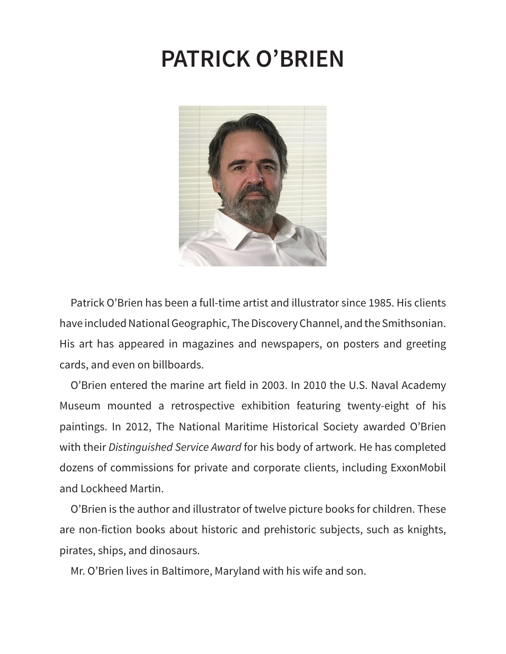### **PATRICK O'BRIEN**



Patrick O'Brien has been a full-time artist and illustrator since 1985. His clients have included National Geographic, The Discovery Channel, and the Smithsonian. His art has appeared in magazines and newspapers, on posters and greeting cards, and even on billboards.

O'Brien entered the marine art field in 2003. In 2010 the U.S. Naval Academy Museum mounted a retrospective exhibition featuring twenty-eight of his paintings. In 2012, The National Maritime Historical Society awarded O'Brien with their *Distinguished Service Award* for his body of artwork. He has completed dozens of commissions for private and corporate clients, including ExxonMobil and Lockheed Martin.

O'Brien is the author and illustrator of twelve picture books for children. These are non-fiction books about historic and prehistoric subjects, such as knights, pirates, ships, and dinosaurs.

Mr. O'Brien lives in Baltimore, Maryland with his wife and son.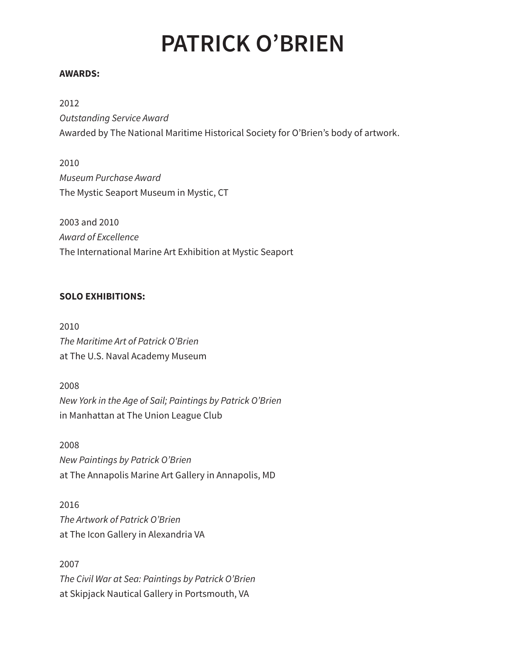# **PATRICK O'BRIEN**

#### **AWARDS:**

2012 *Outstanding Service Award* Awarded by The National Maritime Historical Society for O'Brien's body of artwork.

2010 *Museum Purchase Award* The Mystic Seaport Museum in Mystic, CT

2003 and 2010 *Award of Excellence* The International Marine Art Exhibition at Mystic Seaport

#### **SOLO EXHIBITIONS:**

2010 *The Maritime Art of Patrick O'Brien* at The U.S. Naval Academy Museum

2008 *New York in the Age of Sail; Paintings by Patrick O'Brien* in Manhattan at The Union League Club

2008 *New Paintings by Patrick O'Brien* at The Annapolis Marine Art Gallery in Annapolis, MD

2016 *The Artwork of Patrick O'Brien* at The Icon Gallery in Alexandria VA

2007 *The Civil War at Sea: Paintings by Patrick O'Brien* at Skipjack Nautical Gallery in Portsmouth, VA